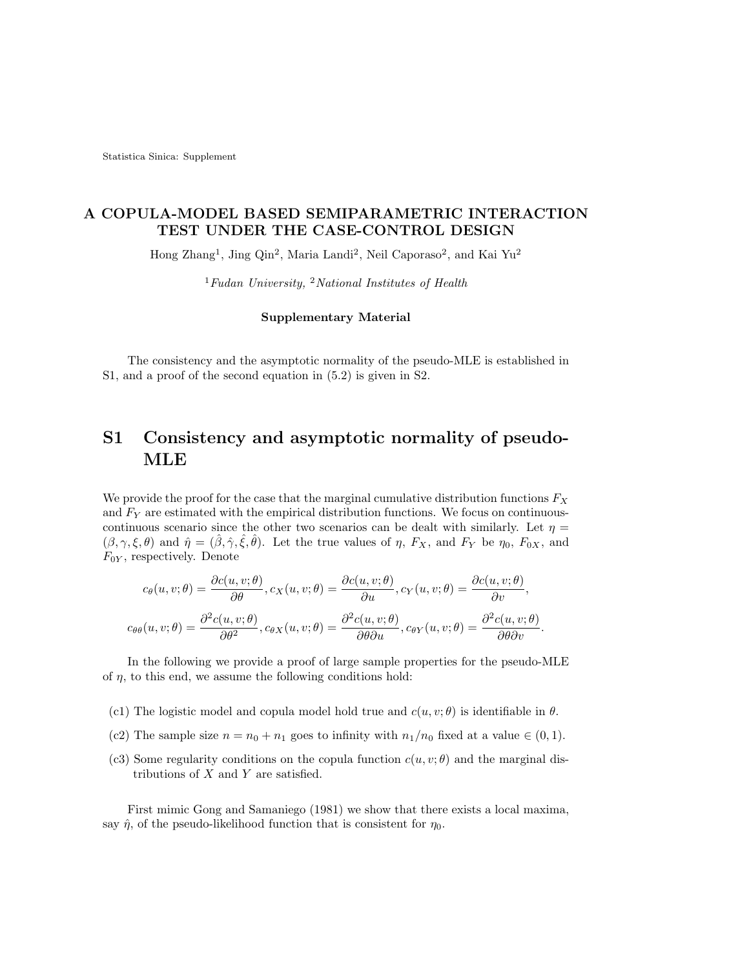Statistica Sinica: Supplement

### A COPULA-MODEL BASED SEMIPARAMETRIC INTERACTION TEST UNDER THE CASE-CONTROL DESIGN

Hong Zhang<sup>1</sup>, Jing Qin<sup>2</sup>, Maria Landi<sup>2</sup>, Neil Caporaso<sup>2</sup>, and Kai Yu<sup>2</sup>

 $1$ Fudan University,  $2$ National Institutes of Health

#### Supplementary Material

The consistency and the asymptotic normality of the pseudo-MLE is established in S1, and a proof of the second equation in (5.2) is given in S2.

## S1 Consistency and asymptotic normality of pseudo-MLE

We provide the proof for the case that the marginal cumulative distribution functions  $F_X$ and  $F_Y$  are estimated with the empirical distribution functions. We focus on continuouscontinuous scenario since the other two scenarios can be dealt with similarly. Let  $\eta =$  $(\beta, \gamma, \xi, \theta)$  and  $\hat{\eta} = (\hat{\beta}, \hat{\gamma}, \hat{\xi}, \hat{\theta})$ . Let the true values of  $\eta$ ,  $F_X$ , and  $F_Y$  be  $\eta_0$ ,  $F_{0X}$ , and  $F_{0Y}$ , respectively. Denote

$$
c_{\theta}(u, v; \theta) = \frac{\partial c(u, v; \theta)}{\partial \theta}, c_{X}(u, v; \theta) = \frac{\partial c(u, v; \theta)}{\partial u}, c_{Y}(u, v; \theta) = \frac{\partial c(u, v; \theta)}{\partial v},
$$

$$
c_{\theta\theta}(u, v; \theta) = \frac{\partial^2 c(u, v; \theta)}{\partial \theta^2}, c_{\theta X}(u, v; \theta) = \frac{\partial^2 c(u, v; \theta)}{\partial \theta \partial u}, c_{\theta Y}(u, v; \theta) = \frac{\partial^2 c(u, v; \theta)}{\partial \theta \partial v}.
$$

In the following we provide a proof of large sample properties for the pseudo-MLE of  $\eta$ , to this end, we assume the following conditions hold:

- (c1) The logistic model and copula model hold true and  $c(u, v; \theta)$  is identifiable in  $\theta$ .
- (c2) The sample size  $n = n_0 + n_1$  goes to infinity with  $n_1/n_0$  fixed at a value  $\in (0, 1)$ .
- (c3) Some regularity conditions on the copula function  $c(u, v; \theta)$  and the marginal distributions of  $X$  and  $Y$  are satisfied.

First mimic Gong and Samaniego (1981) we show that there exists a local maxima, say  $\hat{\eta}$ , of the pseudo-likelihood function that is consistent for  $\eta_0$ .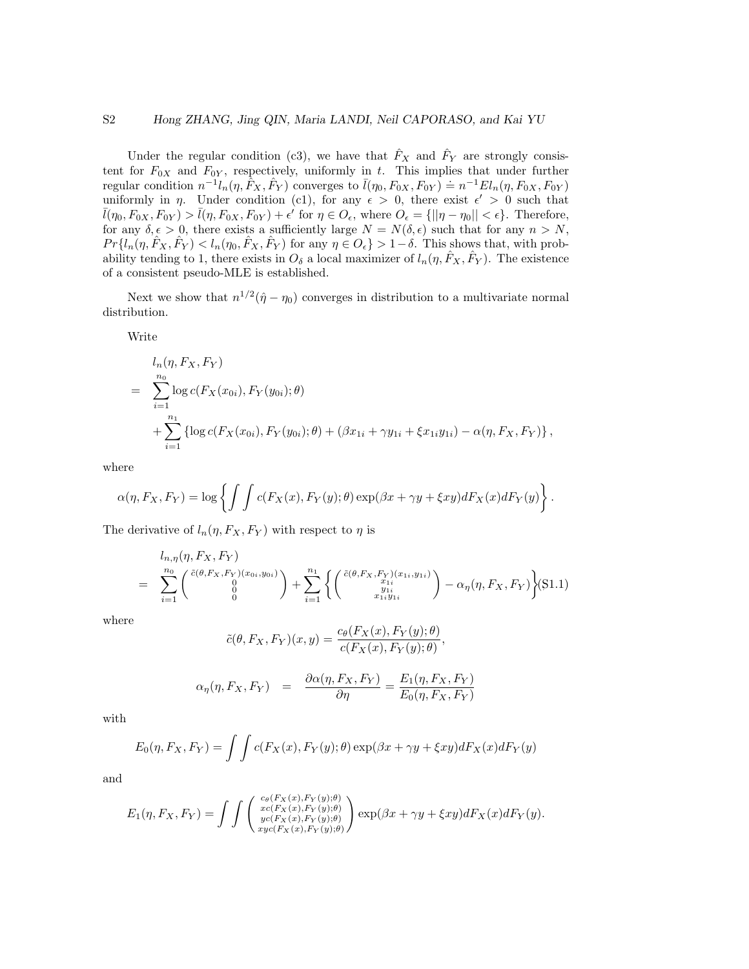#### S2 Hong ZHANG, Jing QIN, Maria LANDI, Neil CAPORASO, and Kai YU

Under the regular condition (c3), we have that  $\hat{F}_X$  and  $\hat{F}_Y$  are strongly consistent for  $F_{0X}$  and  $F_{0Y}$ , respectively, uniformly in t. This implies that under further regular condition  $n^{-1}l_n(\eta, \hat{F}_X, \hat{F}_Y)$  converges to  $\bar{l}(\eta_0, F_{0X}, F_{0Y}) \doteq n^{-1}El_n(\eta, F_{0X}, F_{0Y})$ uniformly in  $\eta$ . Under condition (c1), for any  $\epsilon > 0$ , there exist  $\epsilon' > 0$  such that  $\overline{l}(\eta_0, F_{0X}, F_{0Y}) > \overline{l}(\eta, F_{0X}, F_{0Y}) + \epsilon'$  for  $\eta \in O_{\epsilon}$ , where  $O_{\epsilon} = \{ ||\eta - \eta_0|| < \epsilon \}$ . Therefore, for any  $\delta, \epsilon > 0$ , there exists a sufficiently large  $N = N(\delta, \epsilon)$  such that for any  $n > N$ ,  $Pr\{l_n(\eta, \hat{F}_X, \hat{F}_Y) < l_n(\eta_0, \hat{F}_X, \hat{F}_Y) \text{ for any } \eta \in O_\epsilon\} > 1-\delta.$  This shows that, with probability tending to 1, there exists in  $O_\delta$  a local maximizer of  $l_n(\eta, \hat{F}_X, \hat{F}_Y)$ . The existence of a consistent pseudo-MLE is established.

Next we show that  $n^{1/2}(\hat{\eta} - \eta_0)$  converges in distribution to a multivariate normal distribution.

Write

$$
l_n(\eta, F_X, F_Y)
$$
  
= 
$$
\sum_{i=1}^{n_0} \log c(F_X(x_{0i}), F_Y(y_{0i}); \theta)
$$
  
+ 
$$
\sum_{i=1}^{n_1} {\log c(F_X(x_{0i}), F_Y(y_{0i}); \theta) + (\beta x_{1i} + \gamma y_{1i} + \xi x_{1i}y_{1i}) - \alpha (\eta, F_X, F_Y)},
$$

where

$$
\alpha(\eta, F_X, F_Y) = \log \left\{ \int \int c(F_X(x), F_Y(y); \theta) \exp(\beta x + \gamma y + \xi xy) dF_X(x) dF_Y(y) \right\}.
$$

The derivative of  $l_n(\eta, F_X, F_Y)$  with respect to  $\eta$  is

$$
= \sum_{i=1}^{n_0} {\binom{\tilde{c}(\theta, F_X, F_Y)}{0}} + \sum_{i=1}^{n_1} {\binom{\tilde{c}(\theta, F_X, F_Y)(x_{1i}, y_{1i})}{y_{1i}} - \alpha_{\eta}(\eta, F_X, F_Y)} S(1.1)
$$

where

$$
\tilde{c}(\theta, F_X, F_Y)(x, y) = \frac{c_{\theta}(F_X(x), F_Y(y); \theta)}{c(F_X(x), F_Y(y); \theta)},
$$

$$
\alpha_{\eta}(\eta, F_X, F_Y) = \frac{\partial \alpha(\eta, F_X, F_Y)}{\partial \eta} = \frac{E_1(\eta, F_X, F_Y)}{E_0(\eta, F_X, F_Y)}
$$

with

$$
E_0(\eta, F_X, F_Y) = \int \int c(F_X(x), F_Y(y); \theta) \exp(\beta x + \gamma y + \xi xy) dF_X(x) dF_Y(y)
$$

and

$$
E_1(\eta, F_X, F_Y) = \int \int \begin{pmatrix} c_{\theta}(F_X(x), F_Y(y); \theta) \\ x_{\theta}(F_X(x), F_Y(y); \theta) \\ y_{\theta}(F_X(x), F_Y(y); \theta) \\ x_{\theta}(F_X(x), F_Y(y); \theta) \end{pmatrix} \exp(\beta x + \gamma y + \xi xy) dF_X(x) dF_Y(y).
$$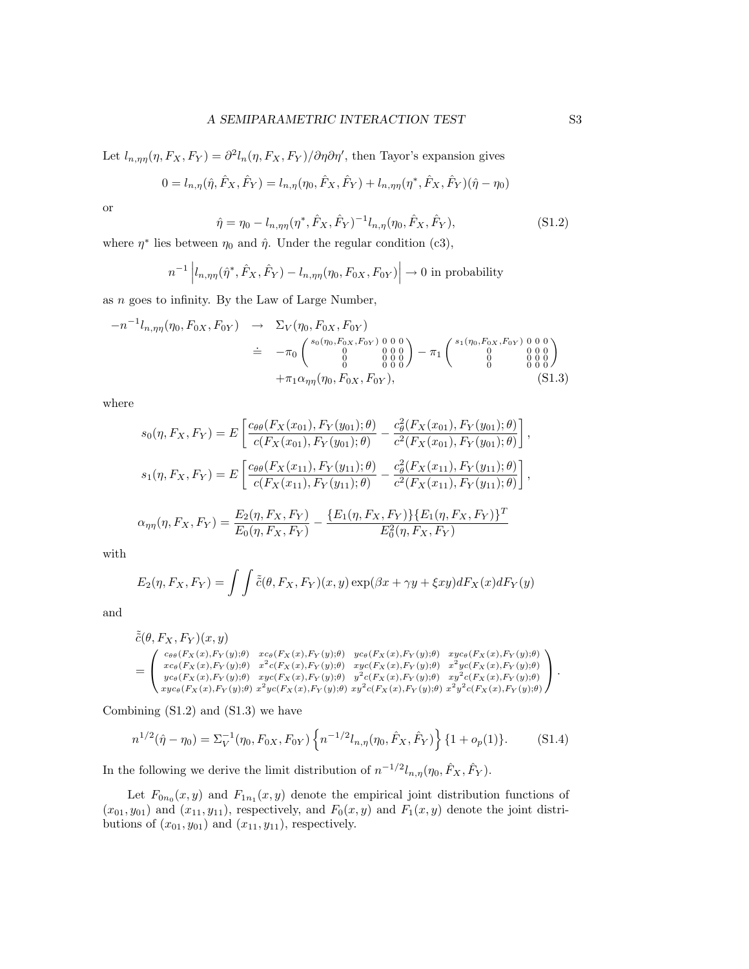Let  $l_{n,\eta\eta}(\eta, F_X, F_Y) = \frac{\partial^2 l_n(\eta, F_X, F_Y)}{\partial \eta \partial \eta}$ , then Tayor's expansion gives

$$
0 = l_{n,\eta}(\hat{\eta}, \hat{F}_X, \hat{F}_Y) = l_{n,\eta}(\eta_0, \hat{F}_X, \hat{F}_Y) + l_{n,\eta\eta}(\eta^*, \hat{F}_X, \hat{F}_Y)(\hat{\eta} - \eta_0)
$$

or

$$
\hat{\eta} = \eta_0 - l_{n,\eta\eta} (\eta^*, \hat{F}_X, \hat{F}_Y)^{-1} l_{n,\eta} (\eta_0, \hat{F}_X, \hat{F}_Y),
$$
\n(S1.2)

where  $\eta^*$  lies between  $\eta_0$  and  $\hat{\eta}$ . Under the regular condition (c3),

$$
n^{-1}\left|l_{n,\eta\eta}(\hat{\eta}^*,\hat{F}_X,\hat{F}_Y) - l_{n,\eta\eta}(\eta_0,F_{0X},F_{0Y})\right| \to 0 \text{ in probability}
$$

as  $n$  goes to infinity. By the Law of Large Number,

$$
-n^{-1}l_{n,\eta\eta}(\eta_0, F_{0X}, F_{0Y}) \rightarrow \Sigma_V(\eta_0, F_{0X}, F_{0Y})
$$
  
\n
$$
\doteq -\pi_0 \begin{pmatrix} s_0(\eta_0, F_{0X}, F_{0Y}) & 0 & 0 & 0 \\ 0 & 0 & 0 & 0 \\ 0 & 0 & 0 & 0 \\ 0 & 0 & 0 & 0 \end{pmatrix} - \pi_1 \begin{pmatrix} s_1(\eta_0, F_{0X}, F_{0Y}) & 0 & 0 & 0 \\ 0 & 0 & 0 & 0 \\ 0 & 0 & 0 & 0 \\ 0 & 0 & 0 & 0 \end{pmatrix}
$$
  
\n
$$
+ \pi_1 \alpha_{\eta\eta}(\eta_0, F_{0X}, F_{0Y}), \qquad (S1.3)
$$

where

$$
s_0(\eta, F_X, F_Y) = E\left[\frac{c_{\theta\theta}(F_X(x_{01}), F_Y(y_{01}); \theta)}{c(F_X(x_{01}), F_Y(y_{01}); \theta)} - \frac{c_{\theta}^2(F_X(x_{01}), F_Y(y_{01}); \theta)}{c^2(F_X(x_{01}), F_Y(y_{01}); \theta)}\right],
$$
  

$$
s_1(\eta, F_X, F_Y) = E\left[\frac{c_{\theta\theta}(F_X(x_{11}), F_Y(y_{11}); \theta)}{c(F_X(x_{11}), F_Y(y_{11}); \theta)} - \frac{c_{\theta}^2(F_X(x_{11}), F_Y(y_{11}); \theta)}{c^2(F_X(x_{11}), F_Y(y_{11}); \theta)}\right],
$$

$$
\alpha_{\eta\eta}(\eta, F_X, F_Y) = \frac{E_2(\eta, F_X, F_Y)}{E_0(\eta, F_X, F_Y)} - \frac{\{E_1(\eta, F_X, F_Y)\}\{E_1(\eta, F_X, F_Y)\}^T}{E_0^2(\eta, F_X, F_Y)}
$$

with

$$
E_2(\eta, F_X, F_Y) = \int \int \tilde{\tilde{c}}(\theta, F_X, F_Y)(x, y) \exp(\beta x + \gamma y + \xi xy) dF_X(x) dF_Y(y)
$$

and

$$
\tilde{\tilde{c}}(\theta, F_X, F_Y)(x, y) = \begin{pmatrix} c_{\theta\theta}(F_X(x), F_Y(y); \theta) & x c_{\theta}(F_X(x), F_Y(y); \theta) & y c_{\theta}(F_X(x), F_Y(y); \theta) & xy c_{\theta}(F_X(x), F_Y(y); \theta) \\ x c_{\theta}(F_X(x), F_Y(y); \theta) & x^2 c(F_X(x), F_Y(y); \theta) & xy c(F_X(x), F_Y(y); \theta) & x^2 y c(F_X(x), F_Y(y); \theta) \\ y c_{\theta}(F_X(x), F_Y(y); \theta) & xy c(F_X(x), F_Y(y); \theta) & y^2 c(F_X(x), F_Y(y); \theta) & xy^2 c(F_X(x), F_Y(y); \theta) \\ x y c_{\theta}(F_X(x), F_Y(y); \theta) & x^2 y c(F_X(x), F_Y(y); \theta) & xy^2 c(F_X(x), F_Y(y); \theta) & x^2 y^2 c(F_X(x), F_Y(y); \theta) \end{pmatrix}.
$$

Combining  $(S1.2)$  and  $(S1.3)$  we have

$$
n^{1/2}(\hat{\eta} - \eta_0) = \Sigma_V^{-1}(\eta_0, F_{0X}, F_{0Y}) \left\{ n^{-1/2} l_{n,\eta}(\eta_0, \hat{F}_X, \hat{F}_Y) \right\} \{1 + o_p(1)\}.
$$
 (S1.4)

In the following we derive the limit distribution of  $n^{-1/2}l_{n,\eta}(\eta_0, \hat{F}_X, \hat{F}_Y)$ .

Let  $F_{0n_0}(x, y)$  and  $F_{1n_1}(x, y)$  denote the empirical joint distribution functions of  $(x_{01}, y_{01})$  and  $(x_{11}, y_{11})$ , respectively, and  $F_0(x, y)$  and  $F_1(x, y)$  denote the joint distributions of  $(x_{01}, y_{01})$  and  $(x_{11}, y_{11})$ , respectively.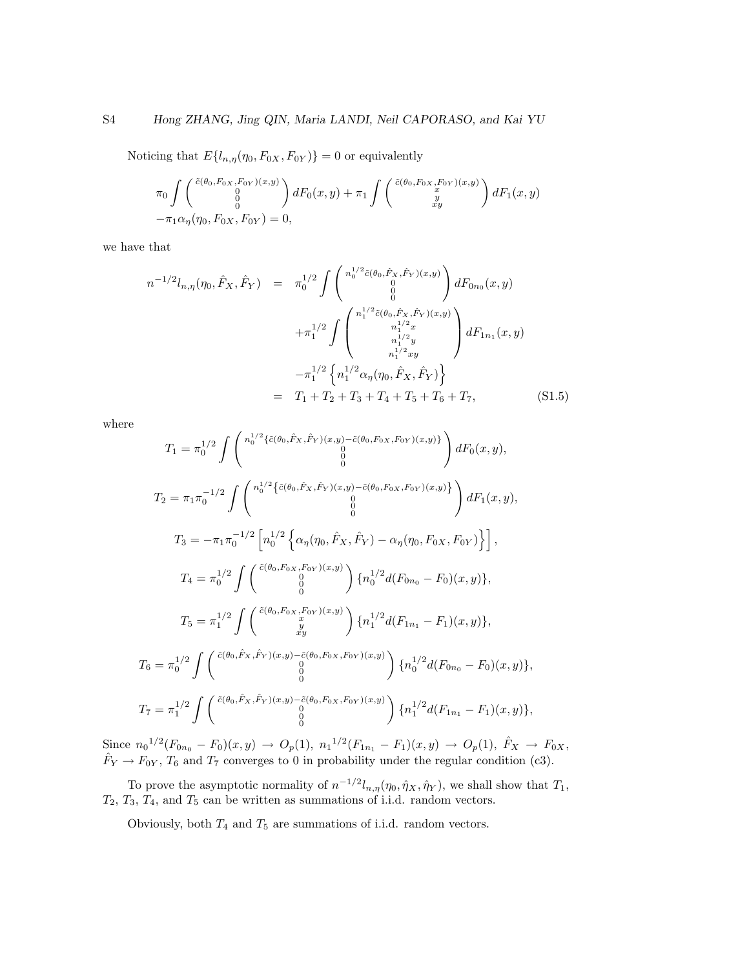Noticing that  $E\{l_{n,\eta}(\eta_0, F_{0X}, F_{0Y})\} = 0$  or equivalently

$$
\pi_0 \int \begin{pmatrix} \tilde{c}(\theta_0, F_{0X}, F_{0Y})(x, y) \\ 0 \\ 0 \\ -\pi_1 \alpha_\eta(\eta_0, F_{0X}, F_{0Y}) = 0, \end{pmatrix} dF_0(x, y) + \pi_1 \int \begin{pmatrix} \tilde{c}(\theta_0, F_{0X}, F_{0Y})(x, y) \\ x \\ xy \end{pmatrix} dF_1(x, y)
$$

we have that

$$
n^{-1/2}l_{n,\eta}(\eta_0, \hat{F}_X, \hat{F}_Y) = \pi_0^{1/2} \int \begin{pmatrix} n_0^{1/2} \tilde{c}(\theta_0, \hat{F}_X, \hat{F}_Y)(x, y) \\ 0 \\ 0 \\ 0 \end{pmatrix} dF_{0n_0}(x, y)
$$

$$
+ \pi_1^{1/2} \int \begin{pmatrix} n_1^{1/2} \tilde{c}(\theta_0, \hat{F}_X, \hat{F}_Y)(x, y) \\ 0 \\ n_1^{1/2} y \\ n_1^{1/2} y \end{pmatrix} dF_{1n_1}(x, y)
$$

$$
- \pi_1^{1/2} \left\{ n_1^{1/2} \alpha_\eta(\eta_0, \hat{F}_X, \hat{F}_Y) \right\}
$$

$$
= T_1 + T_2 + T_3 + T_4 + T_5 + T_6 + T_7, \qquad (S1.5)
$$

where

$$
T_{1} = \pi_{0}^{1/2} \int \begin{pmatrix} n_{0}^{1/2} \{\tilde{c}(\theta_{0}, \hat{F}_{X}, \hat{F}_{Y})(x, y) - \tilde{c}(\theta_{0}, F_{0X}, F_{0Y})(x, y)\} \\ 0 \\ 0 \\ 0 \\ 0 \end{pmatrix} dF_{0}(x, y),
$$
  
\n
$$
T_{2} = \pi_{1} \pi_{0}^{-1/2} \int \begin{pmatrix} n_{0}^{1/2} \{\tilde{c}(\theta_{0}, \hat{F}_{X}, \hat{F}_{Y})(x, y) - \tilde{c}(\theta_{0}, F_{0X}, F_{0Y})(x, y)\} \\ 0 \\ 0 \\ 0 \end{pmatrix} dF_{1}(x, y),
$$
  
\n
$$
T_{3} = -\pi_{1} \pi_{0}^{-1/2} \begin{bmatrix} n_{0}^{1/2} \{\alpha_{\eta}(\eta_{0}, \hat{F}_{X}, \hat{F}_{Y}) - \alpha_{\eta}(\eta_{0}, F_{0X}, F_{0Y})\} \end{bmatrix},
$$
  
\n
$$
T_{4} = \pi_{0}^{1/2} \int \begin{pmatrix} \tilde{c}(\theta_{0}, F_{0X}, F_{0Y})(x, y) \\ 0 \\ 0 \end{pmatrix} \{n_{0}^{1/2} d(F_{0n_{0}} - F_{0})(x, y)\},
$$
  
\n
$$
T_{5} = \pi_{1}^{1/2} \int \begin{pmatrix} \tilde{c}(\theta_{0}, F_{0X}, F_{0Y})(x, y) \\ y \\ xy \end{pmatrix} \{n_{1}^{1/2} d(F_{1n_{1}} - F_{1})(x, y)\},
$$
  
\n
$$
T_{6} = \pi_{0}^{1/2} \int \begin{pmatrix} \tilde{c}(\theta_{0}, \hat{F}_{X}, \hat{F}_{Y})(x, y) - \tilde{c}(\theta_{0}, F_{0X}, F_{0Y})(x, y) \\ 0 \\ 0 \\ 0 \end{pmatrix} \{n_{1}^{1/2} d(F_{0n_{0}} - F_{0})(x, y)\},
$$
  
\n
$$
T_{7} = \pi_{1}^{1/2} \int \begin{pmatrix} \tilde{c}(\theta_{0}, \hat{F}_{X}, \hat{F}_{Y})(x, y) - \tilde{c}(\theta_{0
$$

Since  $n_0^{1/2}(F_{0n_0}-F_0)(x,y) \to O_p(1), n_1^{1/2}(F_{1n_1}-F_1)(x,y) \to O_p(1), \hat{F}_X \to F_{0X}$  $\hat{F}_Y \to F_{0Y}$ ,  $T_6$  and  $T_7$  converges to 0 in probability under the regular condition (c3).

To prove the asymptotic normality of  $n^{-1/2}l_{n,\eta}(\eta_0, \hat{\eta}_X, \hat{\eta}_Y)$ , we shall show that  $T_1$ ,  $T_2, T_3, T_4$ , and  $T_5$  can be written as summations of i.i.d. random vectors.

Obviously, both  $T_4$  and  $T_5$  are summations of i.i.d. random vectors.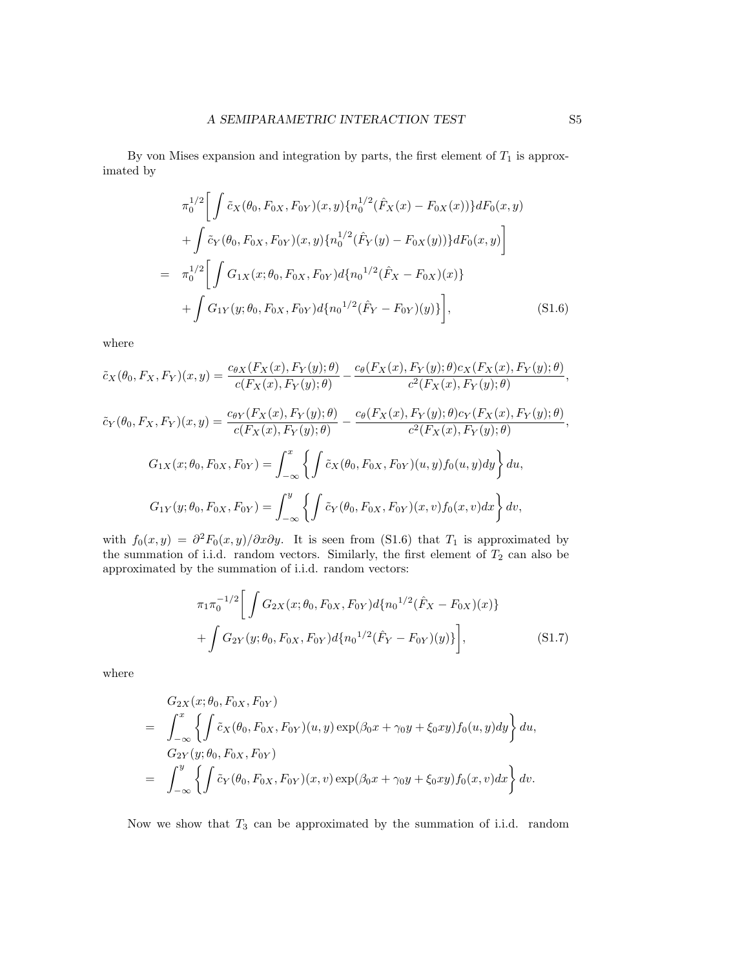By von Mises expansion and integration by parts, the first element of  $T_1$  is approximated by

$$
\pi_0^{1/2} \Bigg[ \int \tilde{c}_X(\theta_0, F_{0X}, F_{0Y})(x, y) \{n_0^{1/2}(\hat{F}_X(x) - F_{0X}(x))\} dF_0(x, y) \n+ \int \tilde{c}_Y(\theta_0, F_{0X}, F_{0Y})(x, y) \{n_0^{1/2}(\hat{F}_Y(y) - F_{0X}(y))\} dF_0(x, y) \Bigg] \n= \pi_0^{1/2} \Bigg[ \int G_{1X}(x; \theta_0, F_{0X}, F_{0Y}) d\{n_0^{1/2}(\hat{F}_X - F_{0X})(x)\} \n+ \int G_{1Y}(y; \theta_0, F_{0X}, F_{0Y}) d\{n_0^{1/2}(\hat{F}_Y - F_{0Y})(y)\} \Bigg],
$$
\n(S1.6)

where

$$
\tilde{c}_{X}(\theta_{0}, F_{X}, F_{Y})(x, y) = \frac{c_{\theta X}(F_{X}(x), F_{Y}(y); \theta)}{c(F_{X}(x), F_{Y}(y); \theta)} - \frac{c_{\theta}(F_{X}(x), F_{Y}(y); \theta)c_{X}(F_{X}(x), F_{Y}(y); \theta)}{c^{2}(F_{X}(x), F_{Y}(y); \theta)}, \n\tilde{c}_{Y}(\theta_{0}, F_{X}, F_{Y})(x, y) = \frac{c_{\theta Y}(F_{X}(x), F_{Y}(y); \theta)}{c(F_{X}(x), F_{Y}(y); \theta)} - \frac{c_{\theta}(F_{X}(x), F_{Y}(y); \theta)c_{Y}(F_{X}(x), F_{Y}(y); \theta)}{c^{2}(F_{X}(x), F_{Y}(y); \theta)}, \nG_{1X}(x; \theta_{0}, F_{0X}, F_{0Y}) = \int_{-\infty}^{x} \left\{ \int \tilde{c}_{X}(\theta_{0}, F_{0X}, F_{0Y})(u, y)f_{0}(u, y)dy \right\} du, \nG_{1Y}(y; \theta_{0}, F_{0X}, F_{0Y}) = \int_{-\infty}^{y} \left\{ \int \tilde{c}_{Y}(\theta_{0}, F_{0X}, F_{0Y})(x, v)f_{0}(x, v)dx \right\} dv,
$$

with  $f_0(x,y) = \frac{\partial^2 F_0(x,y)}{\partial x \partial y}$ . It is seen from (S1.6) that  $T_1$  is approximated by the summation of i.i.d. random vectors. Similarly, the first element of  $T_2$  can also be approximated by the summation of i.i.d. random vectors:

$$
\pi_1 \pi_0^{-1/2} \Bigg[ \int G_{2X}(x; \theta_0, F_{0X}, F_{0Y}) d\{n_0^{1/2} (\hat{F}_X - F_{0X})(x)\} + \int G_{2Y}(y; \theta_0, F_{0X}, F_{0Y}) d\{n_0^{1/2} (\hat{F}_Y - F_{0Y})(y)\} \Bigg],
$$
\n(S1.7)

where

$$
G_{2X}(x; \theta_0, F_{0X}, F_{0Y})
$$
  
=  $\int_{-\infty}^x \left\{ \int \tilde{c}_X(\theta_0, F_{0X}, F_{0Y})(u, y) \exp(\beta_0 x + \gamma_0 y + \xi_0 xy) f_0(u, y) dy \right\} du,$   

$$
G_{2Y}(y; \theta_0, F_{0X}, F_{0Y})
$$
  
=  $\int_{-\infty}^y \left\{ \int \tilde{c}_Y(\theta_0, F_{0X}, F_{0Y})(x, v) \exp(\beta_0 x + \gamma_0 y + \xi_0 xy) f_0(x, v) dx \right\} dv.$ 

Now we show that  $T_3$  can be approximated by the summation of i.i.d. random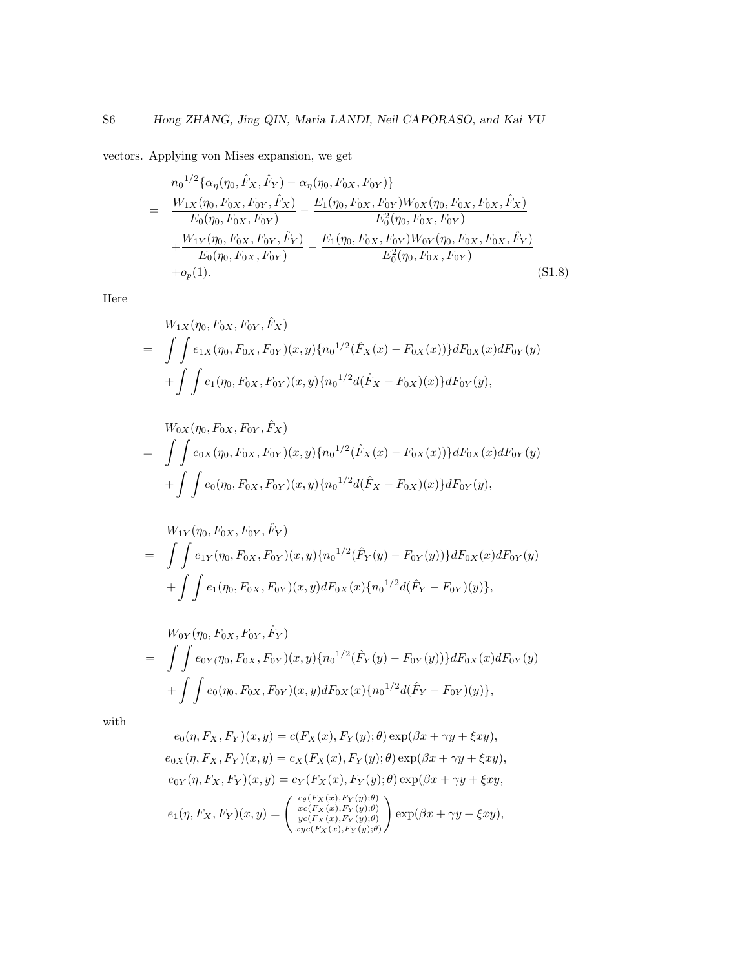vectors. Applying von Mises expansion, we get

$$
= \frac{n_0^{1/2} {\alpha_{\eta}(\eta_0, \hat{F}_X, \hat{F}_Y) - \alpha_{\eta}(\eta_0, F_{0X}, F_{0Y}) } }{E_0(\eta_0, F_{0X}, F_{0Y})} - \frac{E_1(\eta_0, F_{0X}, F_{0Y}) W_{0X}(\eta_0, F_{0X}, F_{0X}, \hat{F}_X) }{E_0^2(\eta_0, F_{0X}, F_{0Y})} + \frac{W_{1Y}(\eta_0, F_{0X}, F_{0Y}, \hat{F}_Y)}{E_0(\eta_0, F_{0X}, F_{0Y})} - \frac{E_1(\eta_0, F_{0X}, F_{0Y}) W_{0Y}(\eta_0, F_{0X}, F_{0X}, \hat{F}_Y)}{E_0^2(\eta_0, F_{0X}, F_{0Y})} + o_p(1).
$$
\n(S1.8)

Here

$$
W_{1X}(\eta_0, F_{0X}, F_{0Y}, \hat{F}_X)
$$
  
= 
$$
\int \int e_{1X}(\eta_0, F_{0X}, F_{0Y})(x, y) \{n_0^{1/2}(\hat{F}_X(x) - F_{0X}(x))\} dF_{0X}(x) dF_{0Y}(y)
$$
  
+ 
$$
\int \int e_1(\eta_0, F_{0X}, F_{0Y})(x, y) \{n_0^{1/2}d(\hat{F}_X - F_{0X})(x)\} dF_{0Y}(y),
$$

$$
W_{0X}(\eta_0, F_{0X}, F_{0Y}, \hat{F}_X)
$$
  
= 
$$
\int \int e_{0X}(\eta_0, F_{0X}, F_{0Y})(x, y) \{n_0^{1/2}(\hat{F}_X(x) - F_{0X}(x))\} dF_{0X}(x) dF_{0Y}(y)
$$
  
+ 
$$
\int \int e_0(\eta_0, F_{0X}, F_{0Y})(x, y) \{n_0^{1/2}d(\hat{F}_X - F_{0X})(x)\} dF_{0Y}(y),
$$

$$
W_{1Y}(\eta_0, F_{0X}, F_{0Y}, \hat{F}_Y)
$$
  
= 
$$
\int \int e_{1Y}(\eta_0, F_{0X}, F_{0Y})(x, y) \{n_0^{1/2}(\hat{F}_Y(y) - F_{0Y}(y))\} dF_{0X}(x) dF_{0Y}(y)
$$
  
+ 
$$
\int \int e_1(\eta_0, F_{0X}, F_{0Y})(x, y) dF_{0X}(x) \{n_0^{1/2}d(\hat{F}_Y - F_{0Y})(y)\},
$$

$$
W_{0Y}(\eta_0, F_{0X}, F_{0Y}, \hat{F}_Y)
$$
  
= 
$$
\int \int e_{0Y}(\eta_0, F_{0X}, F_{0Y})(x, y) \{n_0^{1/2}(\hat{F}_Y(y) - F_{0Y}(y))\} dF_{0X}(x) dF_{0Y}(y)
$$
  
+ 
$$
\int \int e_0(\eta_0, F_{0X}, F_{0Y})(x, y) dF_{0X}(x) \{n_0^{1/2}d(\hat{F}_Y - F_{0Y})(y)\},
$$

with

$$
e_0(\eta, F_X, F_Y)(x, y) = c(F_X(x), F_Y(y); \theta) \exp(\beta x + \gamma y + \xi xy),
$$
  
\n
$$
e_{0X}(\eta, F_X, F_Y)(x, y) = c_X(F_X(x), F_Y(y); \theta) \exp(\beta x + \gamma y + \xi xy),
$$
  
\n
$$
e_{0Y}(\eta, F_X, F_Y)(x, y) = c_Y(F_X(x), F_Y(y); \theta) \exp(\beta x + \gamma y + \xi xy,
$$
  
\n
$$
e_1(\eta, F_X, F_Y)(x, y) = \begin{pmatrix} c_\theta(F_X(x), F_Y(y); \theta) \\ x_c(F_X(x), F_Y(y); \theta) \\ y_c(F_X(x), F_Y(y); \theta) \end{pmatrix} \exp(\beta x + \gamma y + \xi xy),
$$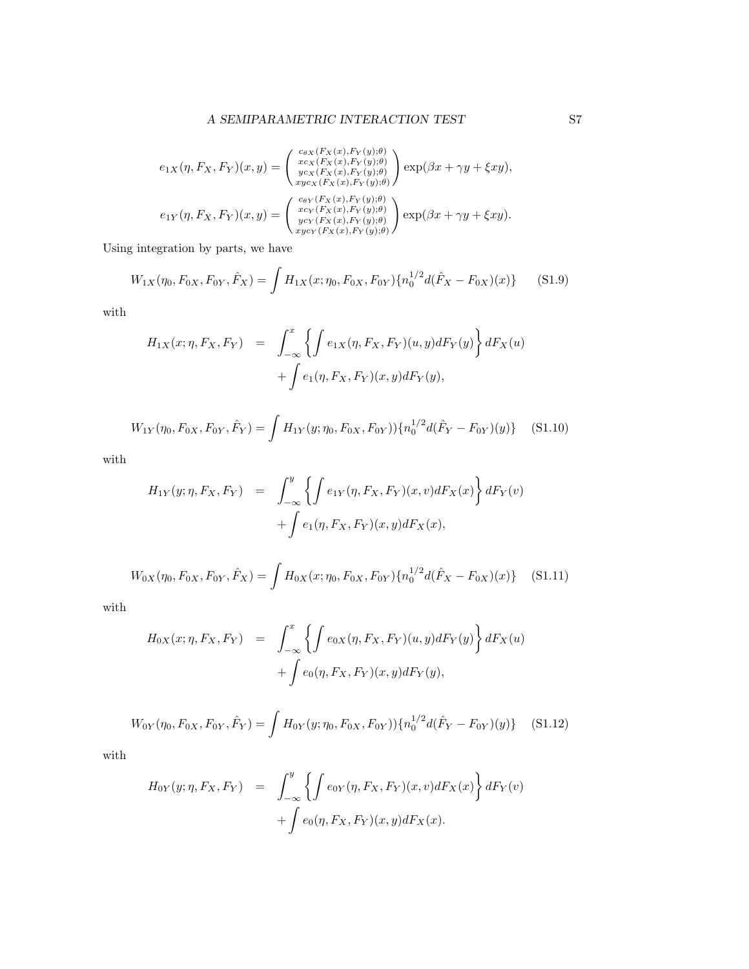### $\begin{array}{ll} \textbf{A} \textbf{ SEMIP} \textbf{ARAMETRIC} \textbf{INTERACTION TEST} & \textbf{S7} \\ \end{array}$

$$
e_{1X}(\eta, F_X, F_Y)(x, y) = \begin{pmatrix} c_{\theta X}(F_X(x), F_Y(y), \theta) \\ x_{CX}(F_X(x), F_Y(y), \theta) \\ y_{CX}(F_X(x), F_Y(y), \theta) \\ x_{\theta X}(F_X(x), F_Y(y), \theta) \end{pmatrix} \exp(\beta x + \gamma y + \xi xy),
$$
  
\n
$$
e_{1Y}(\eta, F_X, F_Y)(x, y) = \begin{pmatrix} c_{\theta Y}(F_X(x), F_Y(y), \theta) \\ x_{\theta Y}(F_X(x), F_Y(y), \theta) \\ y_{\theta Y}(F_X(x), F_Y(y), \theta) \\ x_{\theta Y}(F_X(x), F_Y(y), \theta) \end{pmatrix} \exp(\beta x + \gamma y + \xi xy).
$$

Using integration by parts, we have

$$
W_{1X}(\eta_0, F_{0X}, F_{0Y}, \hat{F}_X) = \int H_{1X}(x; \eta_0, F_{0X}, F_{0Y}) \{n_0^{1/2} d(\hat{F}_X - F_{0X})(x)\}
$$
(S1.9)

with

$$
H_{1X}(x;\eta, F_X, F_Y) = \int_{-\infty}^x \left\{ \int e_{1X}(\eta, F_X, F_Y)(u, y) dF_Y(y) \right\} dF_X(u)
$$

$$
+ \int e_1(\eta, F_X, F_Y)(x, y) dF_Y(y),
$$

$$
W_{1Y}(\eta_0, F_{0X}, F_{0Y}, \hat{F}_Y) = \int H_{1Y}(y; \eta_0, F_{0X}, F_{0Y})) \{ n_0^{1/2} d(\hat{F}_Y - F_{0Y})(y) \}
$$
(S1.10)

with

$$
H_{1Y}(y;\eta, F_X, F_Y) = \int_{-\infty}^{y} \left\{ \int e_{1Y}(\eta, F_X, F_Y)(x, v) dF_X(x) \right\} dF_Y(v)
$$

$$
+ \int e_1(\eta, F_X, F_Y)(x, y) dF_X(x),
$$

$$
W_{0X}(\eta_0, F_{0X}, F_{0Y}, \hat{F}_X) = \int H_{0X}(x; \eta_0, F_{0X}, F_{0Y}) \{n_0^{1/2} d(\hat{F}_X - F_{0X})(x)\} \quad (S1.11)
$$

with

$$
H_{0X}(x;\eta, F_X, F_Y) = \int_{-\infty}^x \left\{ \int e_{0X}(\eta, F_X, F_Y)(u, y) dF_Y(y) \right\} dF_X(u)
$$
  
+ 
$$
\int e_0(\eta, F_X, F_Y)(x, y) dF_Y(y),
$$

$$
W_{0Y}(\eta_0, F_{0X}, F_{0Y}, \hat{F}_Y) = \int H_{0Y}(y; \eta_0, F_{0X}, F_{0Y})) \{ n_0^{1/2} d(\hat{F}_Y - F_{0Y})(y) \} \quad (S1.12)
$$

with

$$
H_{0Y}(y;\eta, F_X, F_Y) = \int_{-\infty}^y \left\{ \int e_{0Y}(\eta, F_X, F_Y)(x, v) dF_X(x) \right\} dF_Y(v)
$$

$$
+ \int e_0(\eta, F_X, F_Y)(x, y) dF_X(x).
$$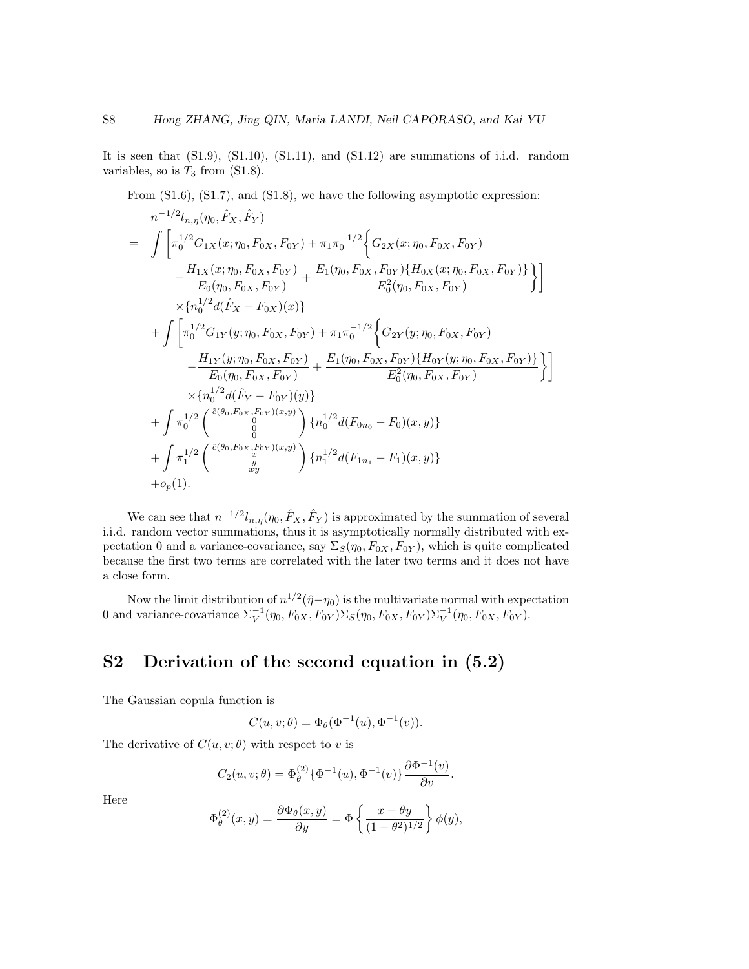It is seen that  $(S1.9)$ ,  $(S1.10)$ ,  $(S1.11)$ , and  $(S1.12)$  are summations of i.i.d. random variables, so is  $T_3$  from (S1.8).

From  $(S1.6)$ ,  $(S1.7)$ , and  $(S1.8)$ , we have the following asymptotic expression:

$$
n^{-1/2}l_{n,\eta}(\eta_0, \hat{F}_X, \hat{F}_Y)
$$
\n
$$
= \int \left[ \pi_0^{1/2} G_{1X}(x; \eta_0, F_{0X}, F_{0Y}) + \pi_1 \pi_0^{-1/2} \left\{ G_{2X}(x; \eta_0, F_{0X}, F_{0Y}) - \frac{H_{1X}(x; \eta_0, F_{0X}, F_{0Y})}{E_0(\eta_0, F_{0X}, F_{0Y})} + \frac{E_1(\eta_0, F_{0X}, F_{0Y}) \{ H_{0X}(x; \eta_0, F_{0X}, F_{0Y}) \} }{E_0^2(\eta_0, F_{0X}, F_{0Y})} \right\} \right]
$$
\n
$$
\times \left\{ n_0^{1/2} d(\hat{F}_X - F_{0X})(x) \right\}
$$
\n
$$
+ \int \left[ \pi_0^{1/2} G_{1Y}(y; \eta_0, F_{0X}, F_{0Y}) + \pi_1 \pi_0^{-1/2} \left\{ G_{2Y}(y; \eta_0, F_{0X}, F_{0Y}) - \frac{H_{1Y}(y; \eta_0, F_{0X}, F_{0Y})}{E_0(\eta_0, F_{0X}, F_{0Y})} + \frac{E_1(\eta_0, F_{0X}, F_{0Y}) \{ H_{0Y}(y; \eta_0, F_{0X}, F_{0Y}) \} }{E_0^2(\eta_0, F_{0X}, F_{0Y})} \right\} \right]
$$
\n
$$
\times \left\{ n_0^{1/2} d(\hat{F}_Y - F_{0Y})(y) \right\}
$$
\n
$$
+ \int \pi_0^{1/2} \begin{pmatrix} \tilde{c}(\theta_0, F_{0X}, F_{0Y})(x, y) \\ 0 \end{pmatrix} \left\{ n_0^{1/2} d(F_{0n_0} - F_0)(x, y) \right\}
$$
\n
$$
+ \int \pi_1^{1/2} \begin{pmatrix} \tilde{c}(\theta_0, F_{0X}, F_{0Y})(x, y) \\ 0 \end{pmatrix} \left\{ n_1^{1/2} d(F_{1n_1} - F_1)(x, y) \right\}
$$
\n
$$
+ op(1).
$$

We can see that  $n^{-1/2}l_{n,\eta}(\eta_0, \hat{F}_X, \hat{F}_Y)$  is approximated by the summation of several i.i.d. random vector summations, thus it is asymptotically normally distributed with expectation 0 and a variance-covariance, say  $\Sigma_S(\eta_0, F_{0X}, F_{0Y})$ , which is quite complicated because the first two terms are correlated with the later two terms and it does not have a close form.

Now the limit distribution of  $n^{1/2}(\hat{\eta}-\eta_0)$  is the multivariate normal with expectation 0 and variance-covariance  $\Sigma_V^{-1}(\eta_0, F_{0X}, F_{0Y}) \Sigma_S(\eta_0, F_{0X}, F_{0Y}) \Sigma_V^{-1}(\eta_0, F_{0X}, F_{0Y})$ .

# S2 Derivation of the second equation in (5.2)

The Gaussian copula function is

$$
C(u, v; \theta) = \Phi_{\theta}(\Phi^{-1}(u), \Phi^{-1}(v)).
$$

The derivative of  $C(u, v; \theta)$  with respect to v is

$$
C_2(u, v; \theta) = \Phi_{\theta}^{(2)} \{ \Phi^{-1}(u), \Phi^{-1}(v) \} \frac{\partial \Phi^{-1}(v)}{\partial v}.
$$

Here

$$
\Phi_{\theta}^{(2)}(x,y) = \frac{\partial \Phi_{\theta}(x,y)}{\partial y} = \Phi \left\{ \frac{x - \theta y}{(1 - \theta^2)^{1/2}} \right\} \phi(y),
$$